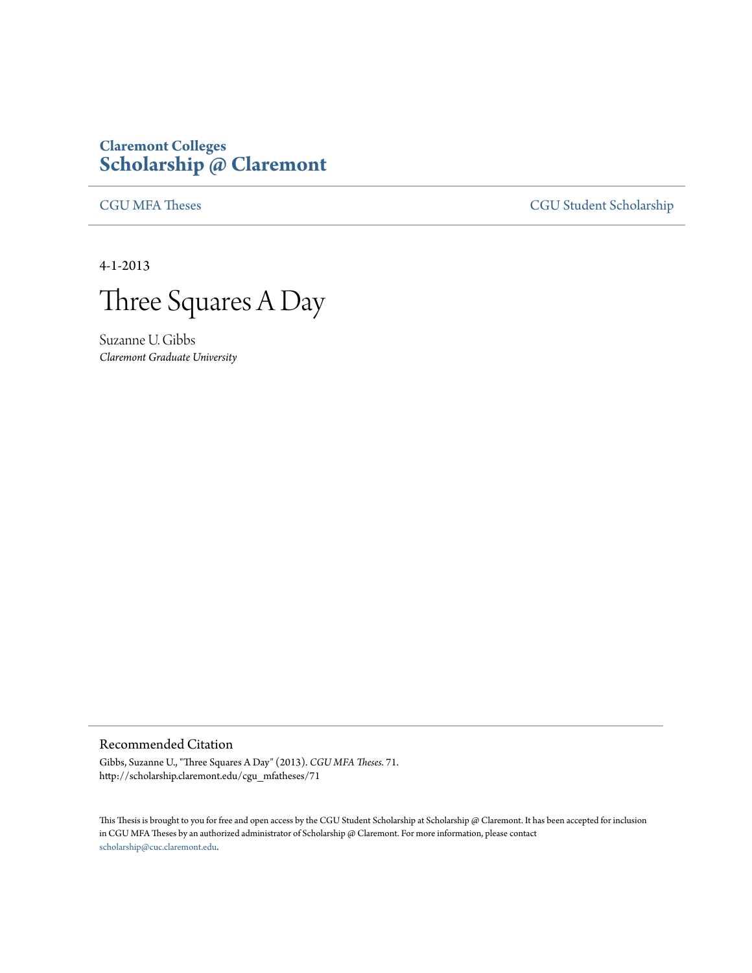## **Claremont Colleges [Scholarship @ Claremont](http://scholarship.claremont.edu)**

[CGU MFA Theses](http://scholarship.claremont.edu/cgu_mfatheses) [CGU Student Scholarship](http://scholarship.claremont.edu/cgu_student)

4-1-2013



Suzanne U. Gibbs *Claremont Graduate University*

## Recommended Citation

Gibbs, Suzanne U., "Three Squares A Day" (2013). *CGU MFA Theses*. 71. http://scholarship.claremont.edu/cgu\_mfatheses/71

This Thesis is brought to you for free and open access by the CGU Student Scholarship at Scholarship @ Claremont. It has been accepted for inclusion in CGU MFA Theses by an authorized administrator of Scholarship @ Claremont. For more information, please contact [scholarship@cuc.claremont.edu.](mailto:scholarship@cuc.claremont.edu)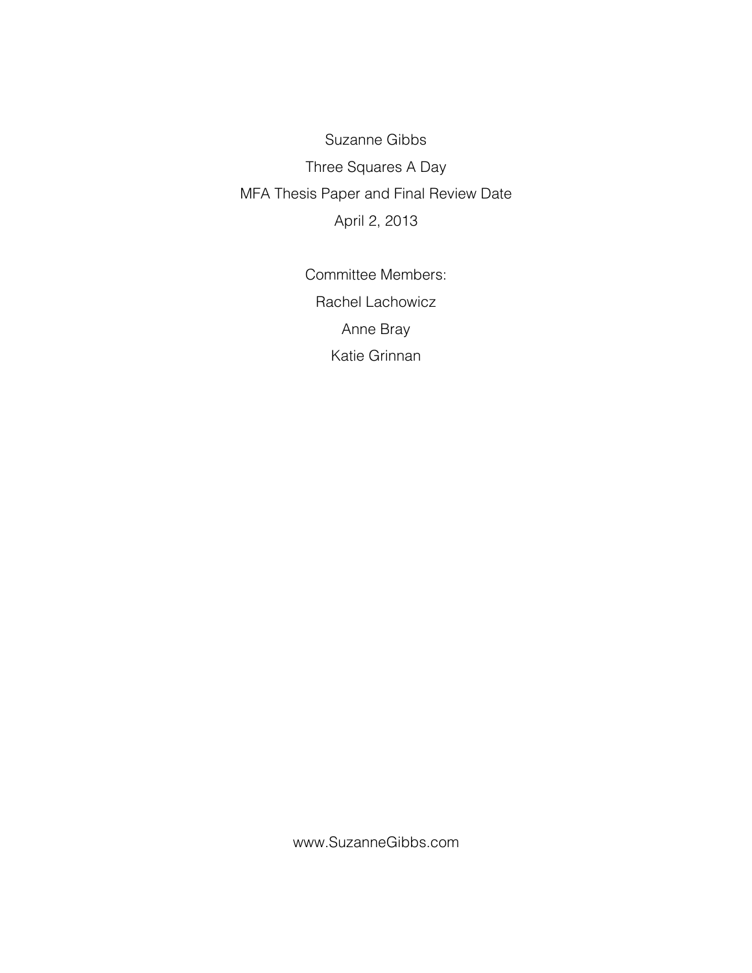Suzanne Gibbs Three Squares A Day MFA Thesis Paper and Final Review Date April 2, 2013

> Committee Members: Rachel Lachowicz Anne Bray Katie Grinnan

www.SuzanneGibbs.com